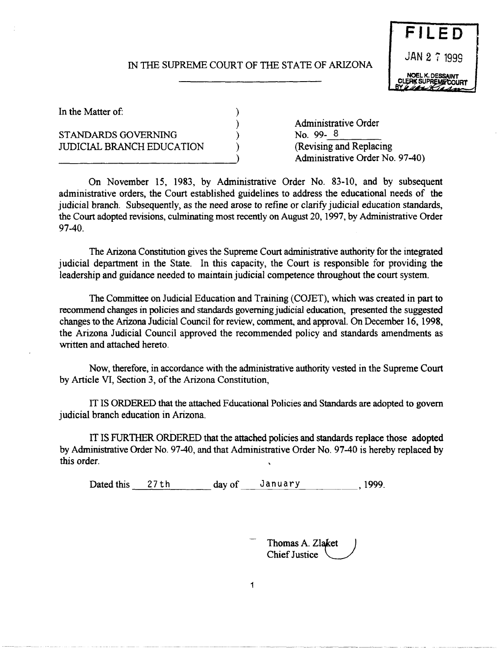# IN THE SUPREME COURT OF THE STATE OF ARIZONA

) ) ) )



In the Matter of:

# STANDARDS GOVERNING JUDICIAL BRANCH EDUCATION

Administrative Order No. 99- $\frac{8}{2}$  (Revising and Replacing Administrative Order No. 97-40)

On November 15, 1983, by Administrative Order No. 83-10, and by subsequent administrative orders, the Court established guidelines to address the educational needs of the judicial branch. Subsequently, as the need arose to refine or clarify judicial education standards, the Court adopted revisions, culminating most recently on August 20, 1997, by Administrative Order 97-40.

The Arizona Constitution gives the Supreme Court administrative authority for the integrated judicial department in the State. In this capacity, the Court is responsible for providing the leadership and guidance needed to maintain judicial competence throughout the court system.

The Committee on Judicial Education and Training (COJET), which was created in part to recommend changes in policies and standards governing judicial education, presented the suggested changes to the Arizona Judicial Council for review, comment, and approval. On December 16, 1998, the Arizona Judicial Council approved the recommended policy and standards amendments as written and attached hereto.

Now, therefore, in accordance with the administrative authority vested in the Supreme Court by Article VI, Section 3, of the Arizona Constitution,

IT IS ORDERED that the attached Fducational Policies and Standards are adopted to govern judicial branch education in Arizona.

IT IS FURTHER ORDERED that the attached policies and standards replace those adopted by Administrative Order No. 97-40, and that Administrative Order No. 97-40 is hereby replaced by this order.

1

Dated this 27th day of January 1999.

<sup>-</sup> Thomas A. Zlaket<br>Chief Justice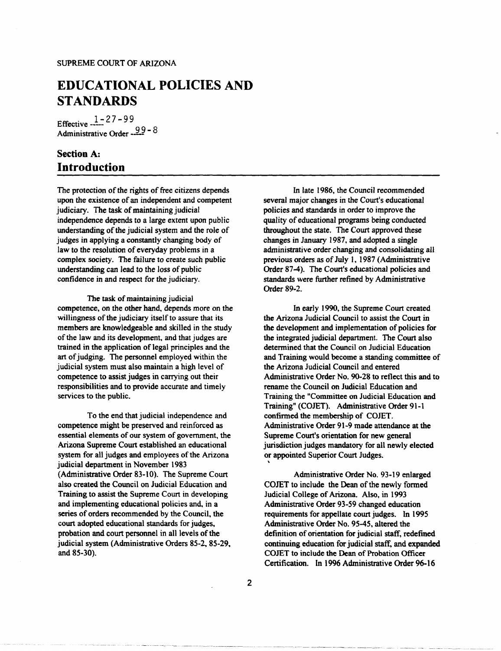# **EDUCATIONAL POLICIES AND STANDARDS**

Effective  $\frac{1 - 27 - 99}{ }$ Administrative Order  $-99 - 8$ 

# **Section** A: **Introduction**

The protection of the rights of free citizens depends upon the existence of an independent and competent judiciary. The task of maintaining judicial independence depends to a large extent upon public understanding of the judicial system and the role of judges in applying a constantly changing body of law to the resolution of everyday problems in a complex society. The failure to create such public understanding can lead to the loss of public confidence in and respect for the judiciary.

The task of maintaining judicial competence, on the other hand, depends more on the willingness of the judiciary itself to assure that its members are knowledgeable and skilled in the study of the law and its development, and that judges are trained in the application of legal principles and the art of judging. The personnel employed within the judicial system must also maintain a high level of competence to assist judges in carrying out their responsibilities and to provide accurate and timely services to the public.

To the end that judicial independence and competence might be preserved and reinforced as essential elements of our system of government, the Arizona Supreme Court established an educational system for all judges and employees of the Arizona judicial department in November 1983 (Administrative Order 83-10). The Supreme Court also created the Council on Judicial Education and Training to assist the Supreme Court in developing and implementing educational policies and, in a series of orders recommended by the Council, the court adopted educational standards for judges, probation and court personnel in all levels of the judicial system (Administrative Orders 85-2, 85-29, and 85-30).

In late 1986, the Council recommended several major changes in the Court's educational policies and standards in order to improve the quality of educational programs being conducted throughout the state. The Court approved these changes in January 1987, and adopted a single administrative order changing and consolidating all previous orders as of July 1, 1987 (Administrative Order 87-4). The Court's educational policies and standards were further refined by Administrative Order 89-2.

In early 1990, the Supreme Court created the Arizona Judicial Council to assist the Court in the development and implementation of policies for the integrated judicial department. The Court also determined that the Council on Judicial Education and Training would become a standing committee of the Arizona Judicial Council and entered Administrative Order No. 90-28 to reflect this and to rename the Council on Judicial Education and Training the "Committee on Judicial Education and Training" (COJET). Administrative Order 91-1 confirmed the membership of COJET. Administrative Order 91-9 made attendance at the Supreme Court's orientation for new general jurisdiction judges mandatory for all newly elected or appointed Superior Court Judges.

Administrative Order No. 93-19 enlarged COJET to include the Dean of the newly formed Judicial College of Arizona. Also, in 1993 Administrative Order 93-59 changed education requirements for appellate court judges. In 1995 Administrative Order No. 95-45, altered the definition of orientation for judicial staff, redefined continuing education for judicial staff, and expanded COJET to include the Dean of Probation Officer Certification. In 1996 Administrative Order 96-16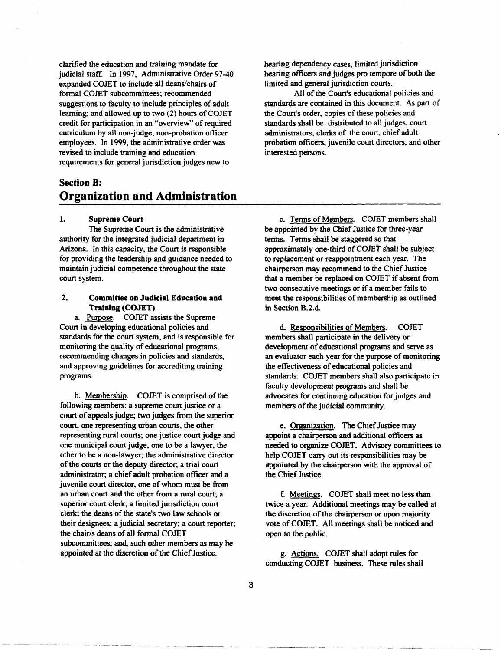clarified the education and training mandate for judicial staff. In 1997, Administrative Order 97-40 expanded COJEr to include all deanS/chairs of formal COJEr subcommittees; recommended suggestions to faculty to include principles of adult learning; and allowed up to two (2) hours of COJET credit for participation in an "overview" of required curriculum by all non-judge, non-probation officer employees. In 1999, the administrative order was revised to include training and education requirements for general jurisdiction judges new to

# Section B: Organization and Administration

#### 1. Supreme Court

The Supreme Court is the administrative authority for the integrated judicial department in Arizona. In this capacity, the Court is responsible for providing the leadership and guidance needed to maintain judicial competence throughout the state court system.

### 2. Committee on Judicial Education and Training (COJET)

a. Purpose. COJET assists the Supreme Court in developing educational policies and standards for the court system, and is responsible for monitoring the quality of educational programs, recommending changes in policies and standards, and approving guidelines for accrediting training programs.

b. Membership. COJEr is comprised of the following members: a supreme court justice or a court of appeals judge; two judges from the superior court, one representing urban courts, the other representing rural courts; one justice court judge and one municipal court judge, one to be a lawyer, the other to be a non-lawyer; the administrative director of the courts or the deputy director; a trial court administrator; a chief adult probation officer and a juvenile court director, one of whom must be from an urban court and the other from a rural court; a superior court clerk; a limited jurisdiction court clerk; the deans of the state's two law schools or their designees; a judicial secretary; a court reporter; the chair/s deans of all formal COJET subcommittees; and, such other members as may be appointed at the discretion of the Chief Justice.

hearing dependency cases, limited jurisdiction hearing officers and judges pro tempore of both the limited and general jurisdiction courts.

All of the Court's educational policies and standards are contained in this document. As part of the Court's order, copies of these policies and standards shall be distributed to all judges, court administrators, clerks of the court, chief adult probation officers, juvenile court directors, and other interested persons.

c. Terms of Members. COJET members shall be appointed by the Chief Justice for three-year terms. Terms shall be staggered so that approximately one-third of COJEr shall be subject to replacement or reappointment each year. The chairperson may recommend to the Chief Justice that a member be replaced on COJEr if absent from two consecutive meetings or if a member fails to meet the responsibilities of membership as outlined in Section B.2.d.

d. Responsibilities of Members. COJEr members shall participate in the delivery or development of educational programs and serve as an evaluator each year for the purpose of monitoring the effectiveness of educational policies and standards. COJET members shall also participate in faculty development programs and shall be advocates for continuing education for judges and members of the judicial community.

e. Organization. The Chief Justice may appoint a chairperson and additional officers as needed to organize COJEr. Advisory committees to help COJET carry out its responsibilities may be appointed by the chairperson with the approval of the Chief Justice.

f. Meetings. COJET shall meet no less than twice a year. Additional meetings may be called at the discretion of the chairperson or upon majority vote of COJEr. All meetings shall be noticed and open to the public.

g. Actions. COJEr shall adopt rules for conducting COJEr business. These rules shall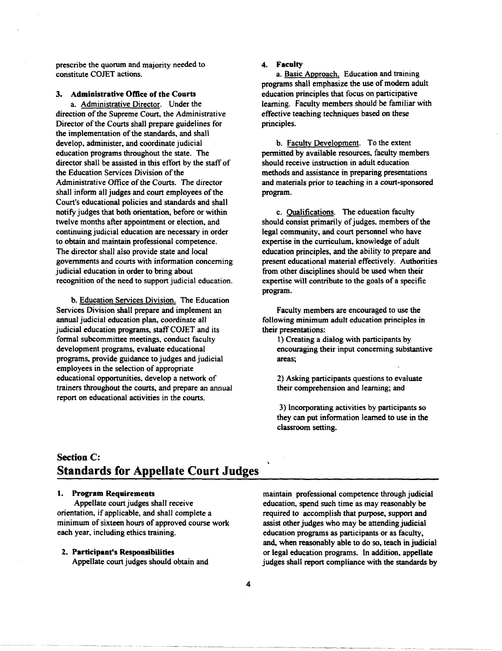prescribe the quorum and majority needed to constitute COJET actions.

### 3. Administrative Office of the Courts

a. Administrative Director. Under the direction of the Supreme Court, the Administrative Director of the Courts shall prepare guidelines for the implementation of the standards, and shall develop, administer, and coordinate judicial education programs throughout the state. The director shall be assisted in this effort by the staff of the Education Services Division of the Administrative Office of the Courts. The director shall inform all judges and court employees of the Court's educational policies and standards and shall notify judges that both orientation, before or within twelve months after appointment or election, and continuing judicial education are necessary in order to obtain and maintain professional competence. The director shall also provide state and local governments and courts with information concerning judicial education in order to bring about recognition of the need to support judicial education.

b. Education Services Division. The Education Services Division shall prepare and implement an annual judicial education plan, coordinate all judicial education programs, staff COJET and its formal subcommittee meetings. conduct faculty development programs. evaluate educational programs, provide guidance to judges and judicial employees in the selection of appropriate educational opportunities, develop a network of trainers throughout the courts, and prepare an annual report on educational activities in the courts.

#### 4. Faculty

a. Basic Approach. Education and training programs shall emphasize the use of modem adult education principles that focus on participative learning. Faculty members should be familiar with effective teaching techniques based on these principles.

b. Faculty Development. To the extent permitted by available resources, faculty members should receive instruction in adult education methods and assistance in preparing presentations and materials prior to teaching in a court-sponsored program.

c. Oualifications. The education faculty should consist primarily of judges. members of the legal community, and court personnel who have expertise in the curriculum, knowledge of adult education principles, and the ability to prepare and present educational material effectively. Authorities from other disciplines should be used when their expertise will contribute to the goals of a specific program.

Faculty members are encouraged to use the following minimum adult education principles in their presentations:

1) Creating a dialog with participants by encouraging their input concerning substantive areas;

2) Asking participants questions to evaluate their comprehension and learning; and

3) Incorporating activities by participants so they can put information learned to use in the classroom setting.

# **Section C: Standards for Appellate Court Judges**

#### 1. Program Requirements

Appellate court judges shall receive orientation, if applicable, and shall complete a minimum of sixteen hours of approved course work each year, including ethics training.

#### 2. Participant's Responsibilities

Appellate court judges should obtain and

maintain professional competence through judicial education, spend such time as may reasonably be required to accomplish that purpose, support and assist other judges who may be attending judicial education programs as participants or as faculty, and, when reasonably able to do so, teach in judicial or legal education programs. In addition. appellate judges shall report compliance with the standards by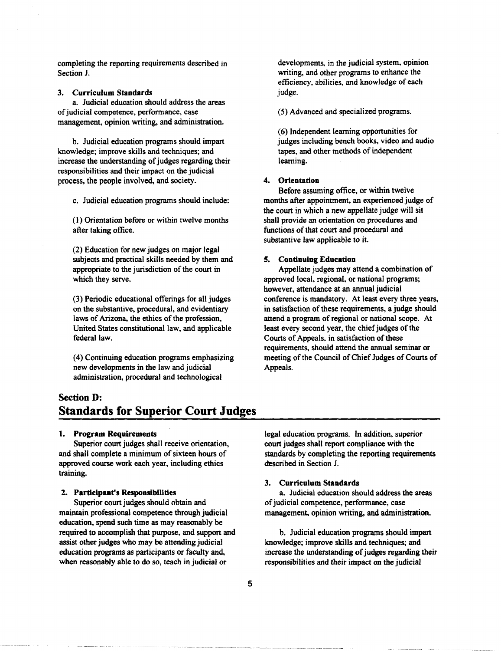completing the reporting requirements described in Section J.

## 3. Curriculum Standards

a. Judicial education should address the areas of judicial competence, perfonnance, case management, opinion writing, and administration.

b. Judicial education programs should impart knowledge; improve skills and techniques; and increase the understanding of judges regarding their responsibilities and their impact on the judicial process, the people involved, and society.

c. Judicial education programs should include:

(I) Orientation before or within twelve months after taking office.

(2) Education for new judges on major legal subjects and practical skills needed by them and appropriate to the jurisdiction of the court in which they serve.

(3) Periodic educational offerings for all judges on the substantive, procedural, and evidentiary laws of Arizona, the ethics of the profession, United States constitutional law, and applicable federal law.

(4) Continuing education programs emphasizing new developments in the law and judicial administration, procedural and technological

developments, in the judicial system, opinion writing, and other programs to enhance the efficiency, abilities, and knowledge of each judge.

(5) Advanced and specialized programs.

(6) Independent learning opportunities for judges including bench books, video and audio tapes, and other methods of independent learning.

### 4. Orientation

Before assuming office, or within twelve months after appointment, an experienced judge of the court in which a new appellate judge will sit shall provide an orientation on procedures and functions of that court and procedural and substantive law applicable to it.

### S. Continuing Education

Appellate judges may attend a combination of approved local, regional, or national programs; however, attendance at an annual judicial conference is mandatory. At least every three years, in satisfaction of these requirements, a judge should attend a program of regional or national scope. At least every second year, the chief judges of the Courts of Appeals, in satisfaction of these requirements, should attend the annual seminar or meeting of the Council of Chief Judges of Courts of Appeals.

# Section D: **Standards for Superior Court Judges**

#### 1. Program Requirements

Superior court judges shall receive orientation, and shall complete a minimum of sixteen hours of approved course work each year, including ethics training.

#### 2. Participant's Responsibilities

Superior court judges should obtain and maintain professional competence through judicial education, spend such time as may reasonably be required to accomplish that purpose, and support and assist other judges who may be attending judicial education programs as participants or faculty and, when reasonably able to do so, teach in judicial or

legal education programs. In addition, superior court judges shall report compliance with the standards by completing the reporting requirements described in Section J.

#### 3. Curriculum Standards

a. Judicial education should address the areas of judicial competence, perfonnance, case management, opinion writing, and administration.

h. Judicial education programs should impart knowledge; improve skills and techniques; and increase the understanding of judges regarding their responsibilities and their impact on the judicial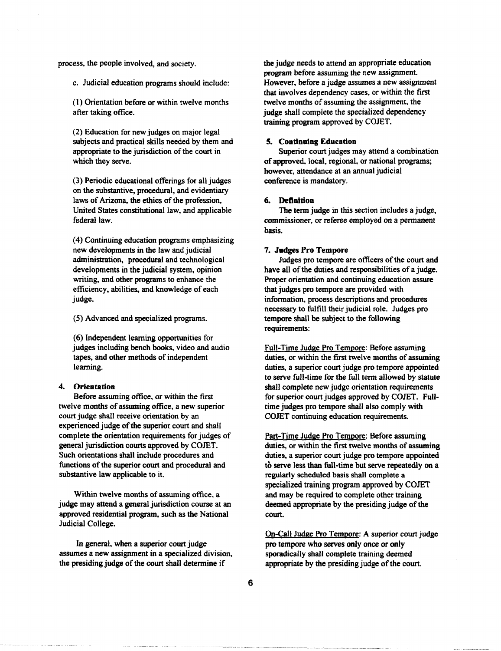process, the people involved, and society.

c. Judicial education programs should include:

(I) Orientation before or within twelve months after taking office.

(2) Education for new judges on major legal subjects and practical skills needed by them and appropriate to the jurisdiction of the court in which they serve.

(3) Periodic educational offerings for all judges on the substantive, procedural, and evidentiary laws of Arizona, the ethics of the profession, United States constitutional law, and applicable federal law.

(4) Continuing education programs emphasizing new developments in the law and judicial administration, procedural and technological developments in the judicial system. opinion writing, and other programs to enhance the efficiency, abilities, and knowledge of each judge.

(5) Advanced and specialized programs.

(6) Independent learning opportunities for judges including bench books, video and audio tapes. and other methods of independent learning.

#### 4. **Orientation**

Before assuming office, or within the first twelve months of assuming office. a new superior court judge shall receive orientation by an experienced judge of the superior court and shall complete the orientation requirements for judges of general jurisdiction courts approved by COJET. Such orientations shall include procedures and functions of the superior court and procedural and substantive law applicable to it.

Within twelve months of assuming office. a judge may attend a general jurisdiction course at an approved residential program, such as the National Judicial College.

In general, when a superior court judge assumes a new assignment in a specialized division, the presiding judge of the court shall determine if

the judge needs to attend an appropriate education program before assuming the new assignment. However, before a judge assumes a new assignment that involves dependency cases, or within the first twelve months of assuming the assignment, the judge shall complete the specialized dependency training program approved by COJET.

#### **5. Continuing Education**

Superior court judges may attend a combination of approved, local, regional, or national programs; however, attendance at an annual judicial conference is mandatory.

#### **6. Definition**

The term judge in this section includes a judge, commissioner, or referee employed on a permanent basis.

#### 7. **Judges Pro Tempore**

Judges pro tempore are officers of the court and have all of the duties and responsibilities of a judge. Proper orientation and continuing education assure that judges pro tempore are provided with information, process descriptions and procedures necessary to fulfill their judicial role. Judges pro tempore shall be subject to the following requirements:

Full-Time Judge Pro Tempore: Before assuming duties, or within the first twelve months of assuming duties, a superior court judge pro tempore appointed to serve full-time for the full term allowed by statute shall complete new judge orientation requirements for superior court judges approved by COJET. Fulltime judges pro tempore shall also comply with COJET continuing education requirements.

Part-Time Judge Pro Tempore: Before assuming duties, or within the first twelve months of assuming duties, a superior court judge pro tempore appointed to serve less than full-time but serve repeatedly on a regularly scheduled basis shall complete a specialized training program approved by COJET and may be required to complete other training deemed appropriate by the presiding judge of the court.

On-Call Judge Pro Tempore: A superior court judge pro tempore who serves only once or only sporadically shall complete training deemed appropriate by the presiding judge of the court.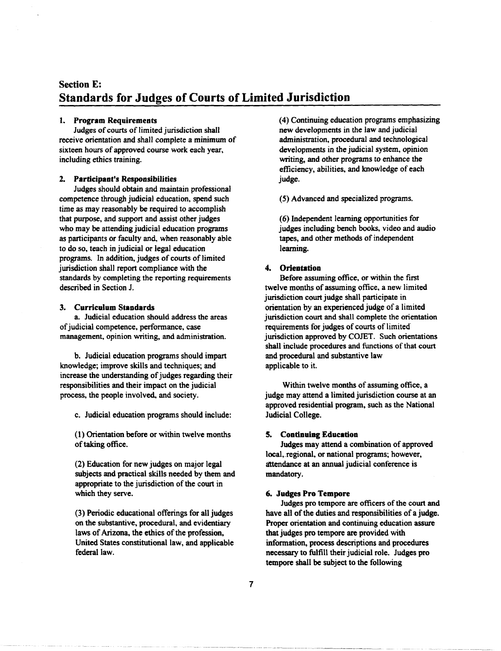# Section E: Standards for Judges of Courts of Limited Jurisdiction

### 1. Program Requirements

Judges of courts of limited jurisdiction shall receive orientation and shall complete a minimum of sixteen hours of approved course work each year, including ethics training.

#### 2. Participant's Responsibilities

Judges should obtain and maintain professional competence through judicial education, spend such time as may reasonably be required to accomplish that purpose, and support and assist other judges who may be attending judicial education programs as participants or faculty and. when reasonably able to do so, teach in judicial or legal education programs. In addition, judges of courts of limited jurisdiction shall report compliance with the standards by completing the reporting requirements described in Section J.

### 3. Curriculum Standards

a. Judicial education should address the areas of judicial competence, performance, case management, opinion writing, and administration.

b. Judicial education programs should impart knowledge; improve skills and techniques; and increase the understanding of judges regarding their responsibilities and their impact on the judicial process, the people involved. and society.

c. Judicial education programs should include:

(1) Orientation before or within twelve months of taking office.

(2) Education for new judges on major legal subjects and practical skills needed by them and appropriate to the jurisdiction of the court in which they serve.

(3) Periodic educational offerings for all judges on the substantive, procedural, and evidentiary laws of Arizona, the ethics of the profession, United States constitutional law, and applicable federal law.

(4) Continuing education programs emphasizing new developments in the law and judicial administration, procedural and technological developments in the judicial system, opinion writing, and other programs to enhance the efficiency, abilities, and knowledge of each judge.

(5) Advanced and specialized programs.

(6) Independent learning opportunities for judges including bench books, video and audio tapes, and other methods of independent learning.

#### 4. Orientation

Before assuming office. or within the first twelve months of assuming office. a new limited jurisdiction court judge shall participate in orientation by an experienced judge of a limited jurisdiction court and shall complete the orientation requirements for judges of courts of limited jurisdiction approved by COJET. Such orientations shall include procedures and functions of that court and procedural and substantive law applicable to it.

Within twelve months of assuming office. a judge may attend a limited jurisdiction course at an approved residential program, such as the National Judicial College.

#### 5. Continuing Education

Judges may attend a combination of approved local, regional, or national programs; however, attendance at an annual judicial conference is mandatory.

### 6. Judges Pro Tempore

Judges pro tempore are officers of the court and have all of the duties and responsibilities of a judge. Proper orientation and continuing education assure that judges pro tempore are provided with information, process descriptions and procedures necessary to fulfill their judicial role. Judges pro tempore shall be subject to the following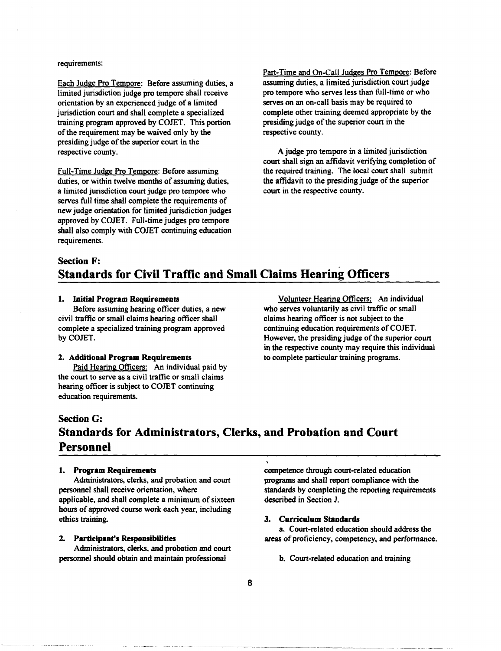#### requirements:

Each Judge Pro Tempore: Before assuming duties. a limited jurisdiction judge pro tempore shall receive orientation by an experienced judge of a limited jurisdiction court and shall complete a specialized training program approved by COJET. This portion of the requirement may be waived only by the presiding judge of the superior court in the respective county.

Full-Time Judge Pro Tempore: Before assuming duties. or within twelve months of assuming duties. a limited jurisdiction court judge pro tempore who serves full time shall complete the requirements of new judge orientation for limited jurisdiction judges approved by COJET. Full-time judges pro tempore shall also comply with COJET continuing education requirements.

Part-Time and On-Call Judges Pro Tempore: Before assuming duties. a limited jurisdiction court judge pro tempore who serves less than full-time or who serves on an on-call basis may be required to complete other training deemed appropriate by the presiding judge of the superior court in the respective county.

A judge pro tempore in a limited jurisdiction court shall sign an affidavit verifying completion of the required training. The local court shall submit the affidavit to the presiding judge of the superior court in the respective county.

# Section F: Standards for Civil Traffic and Small Claims Hearing Officers

#### 1. Initial Program Requirements

Before assuming hearing officer duties. a new civil traffic or small claims hearing officer shall complete a specialized training program approved byCOJET.

#### 2. Additional Program Requirements

Paid Hearing Officers: An individual paid by the court to serve as a civil traffic or small claims hearing officer is subject to COJET continuing education requirements.

Volunteer Hearing Officers: An individual who serves voluntarily as civil traffic or small claims hearing officer is not subject to the continuing education requirements of COJET. However. the presiding judge of the superior court in the respective county may require this individual to complete particular training programs.

# Section G: Standards for Administrators, Clerks, and Probation and Court Personnel

#### 1. Program Requirements

Administrators, clerks, and probation and court personnel shall receive orientation, where applicable, and shall complete a minimum of sixteen hours of approved course work each year, including ethics training.

### 2. Participant's Responsibilities

Administrators, clerks, and probation and court personnel should obtain and maintain professional

competence through court-related education programs and shall report compliance with the standards by completing the reporting requirements described in Section J.

#### 3. Curriculum Standards

a. Court-related education should address the areas of proficiency, competency, and performance.

b. Court-related education and training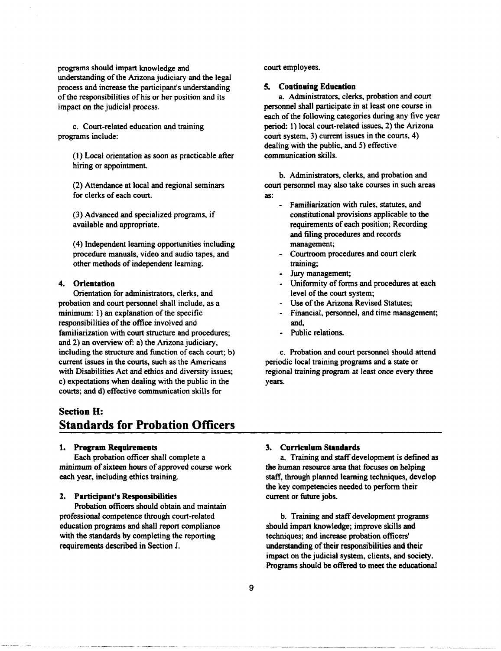programs should impart knowledge and understanding of the Arizona judiciary and the legal process and increase the participant's understanding of the responsibilities of his or her position and its impact on the judicial process.

c. Court-related education and training programs include:

(1) Local orientation as soon as practicable after hiring or appointment.

(2) Attendance at local and regional seminars for clerks of each court.

(3) Advanced and specialized programs, if available and appropriate.

(4) Independent learning opportunities including procedure manuals, video and audio tapes, and other methods of independent learning.

### **4. Orientation**

Orientation for administrators, clerks, and probation and court personnel shall include, as a minimum: 1) an explanation of the specific responsibilities of the office involved and familiarization with court structure and procedures; and 2) an overview of: a) the Arizona judiciary, including the structure and function of each court; b) current issues in the courts, such as the Americans with Disabilities Act and ethics and diversity issues; c) expectations when dealing with the public in the courts; and d) effective communication skills for

# **Section H: Standards for Probation Officers**

### **1. Program Requirements**

Each probation officer shall complete a minimum of sixteen hours of approved course work each year, including ethics training.

#### 1. **Participant's Responsibilities**

Probation officers should obtain and maintain professional competence through court-related education programs and shall report compliance with the standards by completing the reporting requirements described in Section J.

court employees.

#### S. **Continuing Education**

a. Administrators, clerks, probation and court personnel shall participate in at least one course in each of the following categories during any five year period: 1) local court-related issues, 2) the Arizona court system, 3) current issues in the courts, 4) dealing with the public, and 5) effective communication skills.

b. Administrators, clerks, and probation and court personnel may also take courses in such areas as:

- Familiarization with rules, statutes, and constitutional provisions applicable to the requirements of each position; Recording and filing procedures and records management;
- Courtroom procedures and court clerk training;
- Jury management;
- Uniformity of forms and procedures at each level of the court system;
- Use of the Arizona Revised Statutes;
- Financial, personnel, and time management; and,
- Public relations.

c. Probation and court personnel should attend periodic local training programs and a state or regional training program at least once every three years.

#### 3. **Curriculum Standards**

a. Training and staff development is defined as the human resource area that focuses on helping staff, through planned learning techniques, develop the key competencies needed to perform their current or future jobs.

b. Training and staff development programs should impart knowledge; improve skills and techniques; and increase probation officers' understanding of their responsibilities and their impact on the judicial system, clients, and society. Programs should be offered to meet the educational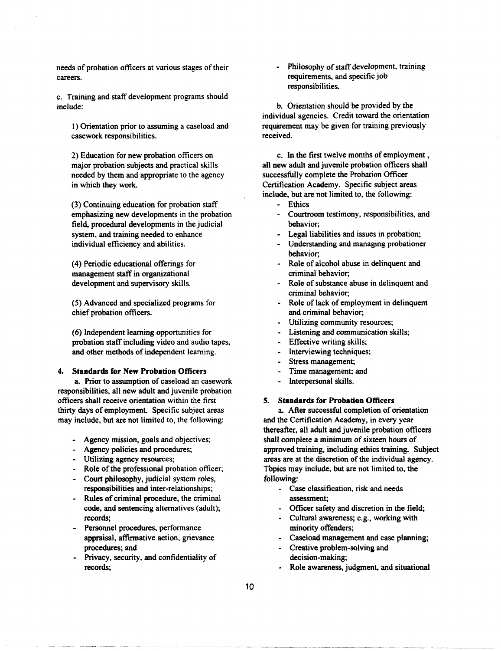needs of probation officers at various stages of their careers.

c. Training and staff development programs should include:

I) Orientation prior to assuming a caseload and casework responsibilities.

2) Education for new probation officers on major probation subjects and practical skills needed by them and appropriate to the agency in which they work.

(3) Continuing education for probation staff emphasizing new developments in the probation field, procedural developments in the judicial system, and training needed to enhance individual efficiency and abilities.

(4) Periodic educational offerings for management staff in organizational development and supervisory skills.

(5) Advanced and specialized programs for chief probation officers.

(6) Independent learning opportunities for probation staff including video and audio tapes, and other methods of independent learning.

### 4. Standards for New Probation Officers

a. Prior to assumption of caseload an casework responsibilities, all new adult and juvenile probation officers shall receive orientation within the first thirty days of employment. Specific subject areas may include, but are not limited to, the following:

- Agency mission, goals and objectives;
- Agency policies and procedures;
- Utilizing agency resources;
- Role of the professional probation officer;
- Court philosophy, judicial system roles, responsibilities and inter-relationships;
- Rules of criminal procedure, the criminal code, and sentencing alternatives (adult); records;
- Personnel procedures, performance appraisal, affirmative action, grievance procedures; and
- Privacy, security, and confidentiality of records;

Philosophy of staff development, training requirements, and specific job responsibilities.

b. Orientation should be provided by the individual agencies. Credit toward the orientation requirement may be given for training previously received.

c. In the first twelve months of employment, all new adult and juvenile probation officers shall successfully complete the Probation Officer Certification Academy. Specific subject areas include, but are not limited to, the following:

- Ethics
- Courtroom testimony, responsibilities, and behavior;
- Legal liabilities and issues in probation;
- Understanding and managing probationer behavior;
- Role of alcohol abuse in delinquent and criminal behavior;
- Role of substance abuse in delinquent and criminal behavior;
- Role of lack of employment in delinquent and criminal behavior;
- Utilizing community resources;
- Listening and communication skills;
- Effective writing skills;
- Interviewing techniques;
- Stress management;
- Time management; and
- Interpersonal skills.

### 5. Standards for Probation Officers

a. After successful completion of orientation and the Certification Academy, in every year thereafter, all adult and juvenile probation officers shall complete a minimum of sixteen hours of approved training, including ethics training. Subject areas are at the discretion of the individual agency. Tbpics may include, but are not limited to, the following:

- Case classification, risk and needs assessment;
- Officer safety and discretion in the field;
- Cultural awareness; e.g., working with minority offenders;
- Caseload management and case planning;
- Creative problem-solving and decision-making;
- Role awareness, judgment, and situational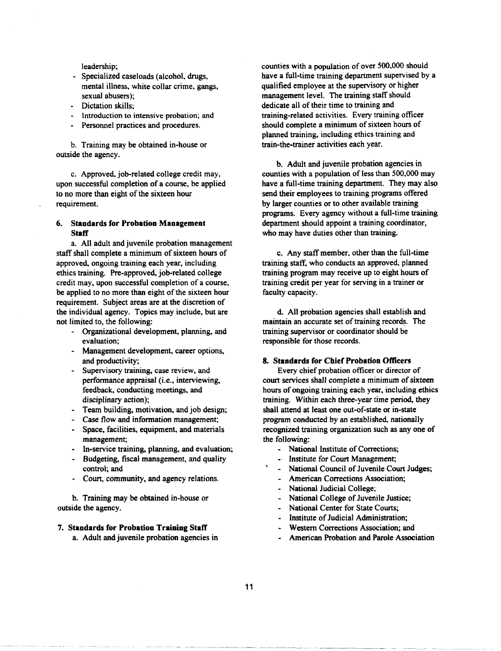leadership;

- Specialized caseloads (alcohol, drugs, mental illness, white collar crime. gangs, sexual abusers);
- Dictation skills;
- Introduction to intensive probation; and
- Personnel practices and procedures.

b. Training may be obtained in-house or outside the agency.

c. Approved, job-related college credit may, upon successful completion of a course. be applied to no more than eight of the sixteen hour requirement.

#### 6. Standards for Probation Management **Staff**

a. All adult and juvenile probation management staff shall complete a minimum of sixteen hours of approved, ongoing training each year, including ethics training. Pre-approved, job-related college credit may, upon successful completion of a course, be applied to no more than eight of the sixteen hour requirement. Subject areas are at the discretion of the individual agency. Topics may include. but are not limited to, the following:

- Organizational development, planning, and evaluation;
- Management development, career options, and productivity;
- Supervisory training, case review, and performance appraisal (i.e., interviewing, feedback, conducting meetings, and disciplinary action);
- Team building, motivation, and job design;
- Case flow and information management;
- Space, facilities, equipment, and materials management;
- In-service training, planning, and evaluation;
- Budgeting, fiscal management, and quality control; and
- Court, community, and agency relations.

b. Training may be obtained in-house or outside the agency.

#### 7. Standards for Probation Training Staff

a. Adult and juvenile probation agencies in

counties with a population of over 500.000 should have a full-time training department supervised by a qualified employee at the supervisory or higher management level. The training staff should dedicate all of their time to training and training-related activities. Every training officer should complete a minimum of sixteen hours of planned training, including ethics training and train-the-trainer activities each year.

b. Adult and juvenile probation agencies in counties with a population of less than 500.000 may have a full-time training department. They may also send their employees to training programs offered by larger counties or to other available training programs. Every agency without a full-time training department should appoint a training coordinator, who may have duties other than training.

c. Any staff member, other than the full-time training staff, who conducts an approved, planned training program may receive up to eight hours of training credit per year for serving in a trainer or faculty capacity.

d. All probation agencies shall establish and maintain an accurate set of training records. The training supervisor or coordinator should be responsible for those records.

#### 8. Standards for Chief Probation Officers

Every chief probation officer or director of court services shall complete a minimum of sixteen hours of ongoing training each year, including ethics training. Within each three-year time period, they shall attend at least one out-of-state or in-state program conducted by an established, nationally recognized training organization such as anyone of the following:

- National Institute of Corrections;
- . Institute for Court Management;
- National Council of Juvenile Court Judges;
- American Corrections Association;
- National Judicial College;
- National College of Juvenile Justice;
- National Center for State Courts;
- Institute of Judicial Administration;
- Western Corrections Association; and
- American Probation and Parole Association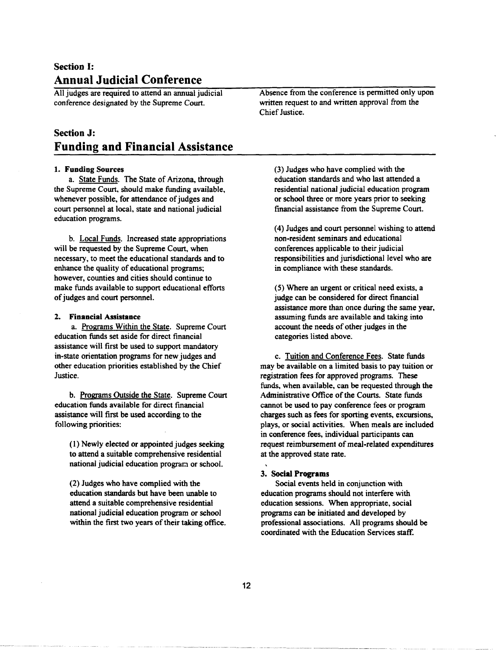# Section I: Annual Judicial Conference

All judges are required to attend an annual judicial conference designated by the Supreme Court.

# Section J: Funding and Financial Assistance

#### 1. Funding Sources

a. State Funds. The State of Arizona, through the Supreme Court, should make funding available, whenever possible, for attendance of judges and court personnel at local, state and national judicial education programs.

b. Local Funds. Increased state appropriations will be requested by the Supreme Court, when necessary, to meet the educational standards and to enhance the quality of educational programs; however, counties and cities should continue to make funds available to support educational efforts of judges and court personnel.

#### 2. Financial Assistance

a. Programs Within the State. Supreme Court education funds set aside for direct financial assistance will first be used to support mandatory in-state orientation programs for new judges and other education priorities established by the Chief Justice.

b. Programs Outside the State. Supreme Court education funds available for direct fmancial assistance will first be used according to the following priorities:

(1) Newly elected or appointed judges seeking to attend a suitable comprehensive residential national judicial education program or school.

(2) Judges who have complied with the education standards but have been unable to attend a suitable comprehensive residential national judicial education program or school within the first two years of their taking office. Absence from the conference is permitted only upon written request to and written approval from the Chief Justice.

(3) Judges who have complied with the education standards and who last attended a residential national judicial education program or school three or more years prior to seeking financial assistance from the Supreme Court.

(4) Judges and court personnel wishing to attend non-resident seminars and educational conferences applicable to their judicial responsibilities and jurisdictional level who are in compliance with these standards.

(5) Where an urgent or critical need exists, a judge can be considered for direct financial assistance more than once during the same year, assuming funds are available and taking into account the needs of other judges in the categories listed above.

c. Tuition and Conference Fees. State funds may be available on a limited basis to pay tuition or registration fees for approved programs. These funds, when available, can be requested through the Administrative Office of the Courts. State funds cannot be used to pay conference fees or program charges such as fees for sporting events, excursions, plays, or social activities. When meals are included in conference fees, individual participants can request reimbursement of meal-related expenditures at the approved state rate.

#### 3. Social Programs

Social events held in conjunction with education programs should not interfere with education sessions. When appropriate, social programs can be initiated and developed by professional associations. All programs should be coordinated with the Education Services staff.